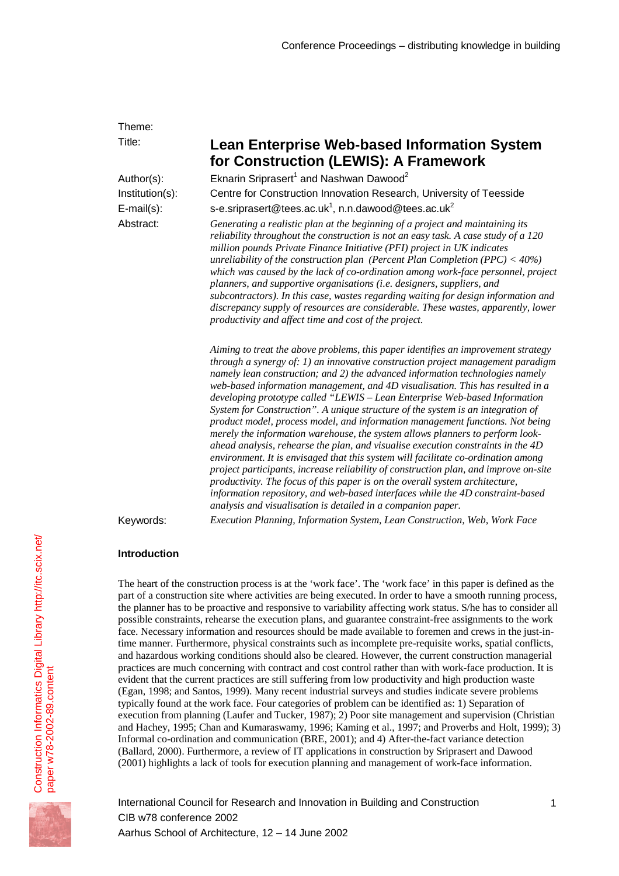| Theme:            |                                                                                                                                                                                                                                                                                                                                                                                                                                                                                                                                                                                                                                                                                                                                                                                                                                                                                                                                                                                                                                                                                                                                                                                    |  |  |  |  |  |
|-------------------|------------------------------------------------------------------------------------------------------------------------------------------------------------------------------------------------------------------------------------------------------------------------------------------------------------------------------------------------------------------------------------------------------------------------------------------------------------------------------------------------------------------------------------------------------------------------------------------------------------------------------------------------------------------------------------------------------------------------------------------------------------------------------------------------------------------------------------------------------------------------------------------------------------------------------------------------------------------------------------------------------------------------------------------------------------------------------------------------------------------------------------------------------------------------------------|--|--|--|--|--|
| Title:            | <b>Lean Enterprise Web-based Information System</b><br>for Construction (LEWIS): A Framework                                                                                                                                                                                                                                                                                                                                                                                                                                                                                                                                                                                                                                                                                                                                                                                                                                                                                                                                                                                                                                                                                       |  |  |  |  |  |
| Author(s):        | Eknarin Sriprasert <sup>1</sup> and Nashwan Dawood <sup>2</sup>                                                                                                                                                                                                                                                                                                                                                                                                                                                                                                                                                                                                                                                                                                                                                                                                                                                                                                                                                                                                                                                                                                                    |  |  |  |  |  |
| Institution(s):   | Centre for Construction Innovation Research, University of Teesside                                                                                                                                                                                                                                                                                                                                                                                                                                                                                                                                                                                                                                                                                                                                                                                                                                                                                                                                                                                                                                                                                                                |  |  |  |  |  |
| $E$ -mail $(s)$ : | s-e.sriprasert@tees.ac.uk <sup>1</sup> , n.n.dawood@tees.ac.uk <sup>2</sup>                                                                                                                                                                                                                                                                                                                                                                                                                                                                                                                                                                                                                                                                                                                                                                                                                                                                                                                                                                                                                                                                                                        |  |  |  |  |  |
| Abstract:         | Generating a realistic plan at the beginning of a project and maintaining its<br>reliability throughout the construction is not an easy task. A case study of a 120<br>million pounds Private Finance Initiative (PFI) project in UK indicates<br>unreliability of the construction plan (Percent Plan Completion (PPC) < $40\%$ )<br>which was caused by the lack of co-ordination among work-face personnel, project<br>planners, and supportive organisations (i.e. designers, suppliers, and<br>subcontractors). In this case, wastes regarding waiting for design information and<br>discrepancy supply of resources are considerable. These wastes, apparently, lower<br>productivity and affect time and cost of the project.                                                                                                                                                                                                                                                                                                                                                                                                                                               |  |  |  |  |  |
|                   | Aiming to treat the above problems, this paper identifies an improvement strategy<br>through a synergy of: $1$ ) an innovative construction project management paradigm<br>namely lean construction; and 2) the advanced information technologies namely<br>web-based information management, and 4D visualisation. This has resulted in a<br>developing prototype called "LEWIS - Lean Enterprise Web-based Information<br>System for Construction". A unique structure of the system is an integration of<br>product model, process model, and information management functions. Not being<br>merely the information warehouse, the system allows planners to perform look-<br>ahead analysis, rehearse the plan, and visualise execution constraints in the $4D$<br>environment. It is envisaged that this system will facilitate co-ordination among<br>project participants, increase reliability of construction plan, and improve on-site<br>productivity. The focus of this paper is on the overall system architecture,<br>information repository, and web-based interfaces while the 4D constraint-based<br>analysis and visualisation is detailed in a companion paper. |  |  |  |  |  |
| Keywords:         | Execution Planning, Information System, Lean Construction, Web, Work Face                                                                                                                                                                                                                                                                                                                                                                                                                                                                                                                                                                                                                                                                                                                                                                                                                                                                                                                                                                                                                                                                                                          |  |  |  |  |  |

### **Introduction**

The heart of the construction process is at the 'work face'. The 'work face' in this paper is defined as the part of a construction site where activities are being executed. In order to have a smooth running process, the planner has to be proactive and responsive to variability affecting work status. S/he has to consider all possible constraints, rehearse the execution plans, and guarantee constraint-free assignments to the work face. Necessary information and resources should be made available to foremen and crews in the just-intime manner. Furthermore, physical constraints such as incomplete pre-requisite works, spatial conflicts, and hazardous working conditions should also be cleared. However, the current construction managerial practices are much concerning with contract and cost control rather than with work-face production. It is evident that the current practices are still suffering from low productivity and high production waste (Egan, 1998; and Santos, 1999). Many recent industrial surveys and studies indicate severe problems typically found at the work face. Four categories of problem can be identified as: 1) Separation of execution from planning (Laufer and Tucker, 1987); 2) Poor site management and supervision (Christian and Hachey, 1995; Chan and Kumaraswamy, 1996; Kaming et al., 1997; and Proverbs and Holt, 1999); 3) Informal co-ordination and communication (BRE, 2001); and 4) After-the-fact variance detection (Ballard, 2000). Furthermore, a review of IT applications in construction by Sriprasert and Dawood (2001) highlights a lack of tools for execution planning and management of work-face information.

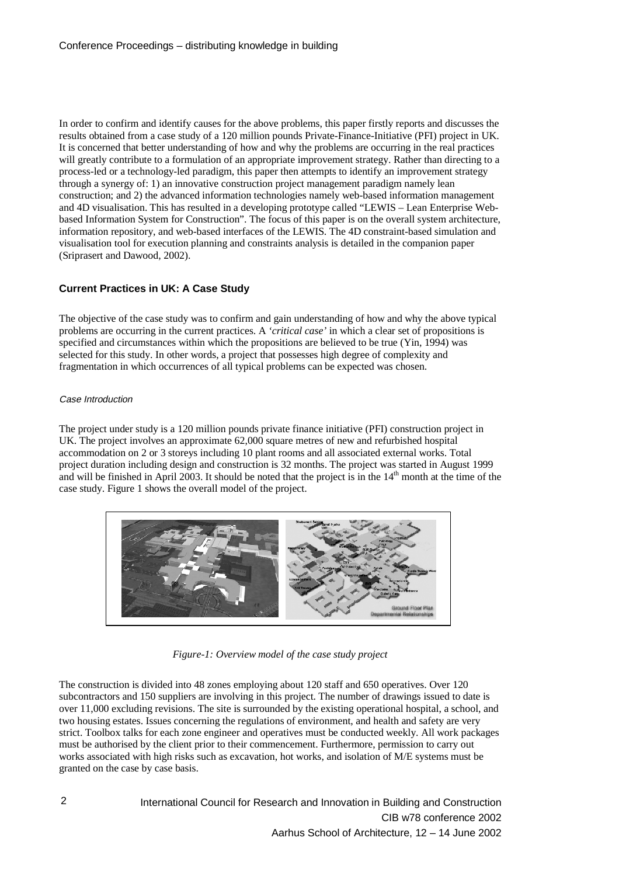In order to confirm and identify causes for the above problems, this paper firstly reports and discusses the results obtained from a case study of a 120 million pounds Private-Finance-Initiative (PFI) project in UK. It is concerned that better understanding of how and why the problems are occurring in the real practices will greatly contribute to a formulation of an appropriate improvement strategy. Rather than directing to a process-led or a technology-led paradigm, this paper then attempts to identify an improvement strategy through a synergy of: 1) an innovative construction project management paradigm namely lean construction; and 2) the advanced information technologies namely web-based information management and 4D visualisation. This has resulted in a developing prototype called "LEWIS – Lean Enterprise Webbased Information System for Construction". The focus of this paper is on the overall system architecture, information repository, and web-based interfaces of the LEWIS. The 4D constraint-based simulation and visualisation tool for execution planning and constraints analysis is detailed in the companion paper (Sriprasert and Dawood, 2002).

# **Current Practices in UK: A Case Study**

The objective of the case study was to confirm and gain understanding of how and why the above typical problems are occurring in the current practices. A *'critical case'* in which a clear set of propositions is specified and circumstances within which the propositions are believed to be true (Yin, 1994) was selected for this study. In other words, a project that possesses high degree of complexity and fragmentation in which occurrences of all typical problems can be expected was chosen.

### Case Introduction

The project under study is a 120 million pounds private finance initiative (PFI) construction project in UK. The project involves an approximate 62,000 square metres of new and refurbished hospital accommodation on 2 or 3 storeys including 10 plant rooms and all associated external works. Total project duration including design and construction is 32 months. The project was started in August 1999 and will be finished in April 2003. It should be noted that the project is in the  $14<sup>th</sup>$  month at the time of the case study. Figure 1 shows the overall model of the project.



*Figure-1: Overview model of the case study project*

The construction is divided into 48 zones employing about 120 staff and 650 operatives. Over 120 subcontractors and 150 suppliers are involving in this project. The number of drawings issued to date is over 11,000 excluding revisions. The site is surrounded by the existing operational hospital, a school, and two housing estates. Issues concerning the regulations of environment, and health and safety are very strict. Toolbox talks for each zone engineer and operatives must be conducted weekly. All work packages must be authorised by the client prior to their commencement. Furthermore, permission to carry out works associated with high risks such as excavation, hot works, and isolation of M/E systems must be granted on the case by case basis.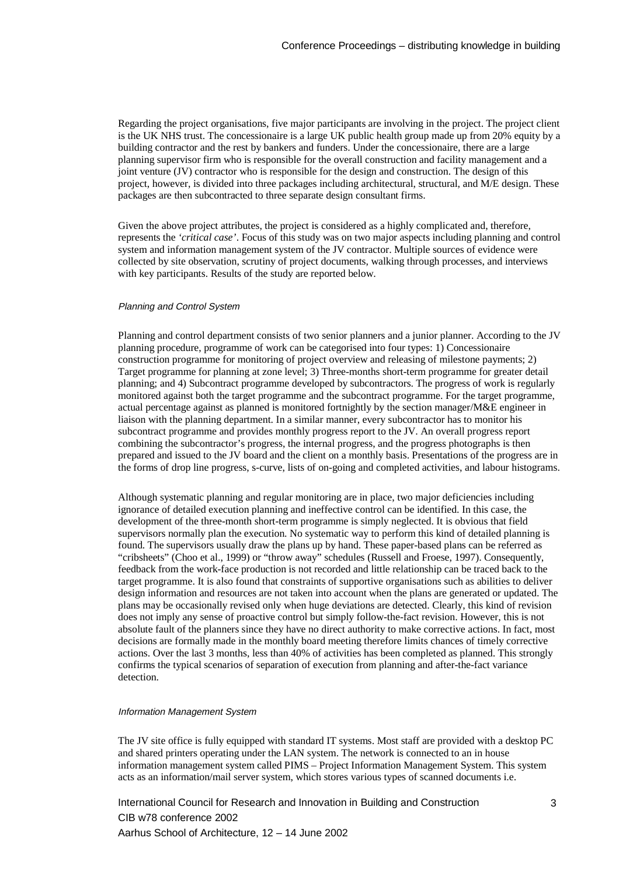Regarding the project organisations, five major participants are involving in the project. The project client is the UK NHS trust. The concessionaire is a large UK public health group made up from 20% equity by a building contractor and the rest by bankers and funders. Under the concessionaire, there are a large planning supervisor firm who is responsible for the overall construction and facility management and a joint venture (JV) contractor who is responsible for the design and construction. The design of this project, however, is divided into three packages including architectural, structural, and M/E design. These packages are then subcontracted to three separate design consultant firms.

Given the above project attributes, the project is considered as a highly complicated and, therefore, represents the *'critical case'*. Focus of this study was on two major aspects including planning and control system and information management system of the JV contractor. Multiple sources of evidence were collected by site observation, scrutiny of project documents, walking through processes, and interviews with key participants. Results of the study are reported below.

#### Planning and Control System

Planning and control department consists of two senior planners and a junior planner. According to the JV planning procedure, programme of work can be categorised into four types: 1) Concessionaire construction programme for monitoring of project overview and releasing of milestone payments; 2) Target programme for planning at zone level; 3) Three-months short-term programme for greater detail planning; and 4) Subcontract programme developed by subcontractors. The progress of work is regularly monitored against both the target programme and the subcontract programme. For the target programme, actual percentage against as planned is monitored fortnightly by the section manager/M&E engineer in liaison with the planning department. In a similar manner, every subcontractor has to monitor his subcontract programme and provides monthly progress report to the JV. An overall progress report combining the subcontractor's progress, the internal progress, and the progress photographs is then prepared and issued to the JV board and the client on a monthly basis. Presentations of the progress are in the forms of drop line progress, s-curve, lists of on-going and completed activities, and labour histograms.

Although systematic planning and regular monitoring are in place, two major deficiencies including ignorance of detailed execution planning and ineffective control can be identified. In this case, the development of the three-month short-term programme is simply neglected. It is obvious that field supervisors normally plan the execution. No systematic way to perform this kind of detailed planning is found. The supervisors usually draw the plans up by hand. These paper-based plans can be referred as "cribsheets" (Choo et al., 1999) or "throw away" schedules (Russell and Froese, 1997). Consequently, feedback from the work-face production is not recorded and little relationship can be traced back to the target programme. It is also found that constraints of supportive organisations such as abilities to deliver design information and resources are not taken into account when the plans are generated or updated. The plans may be occasionally revised only when huge deviations are detected. Clearly, this kind of revision does not imply any sense of proactive control but simply follow-the-fact revision. However, this is not absolute fault of the planners since they have no direct authority to make corrective actions. In fact, most decisions are formally made in the monthly board meeting therefore limits chances of timely corrective actions. Over the last 3 months, less than 40% of activities has been completed as planned. This strongly confirms the typical scenarios of separation of execution from planning and after-the-fact variance detection.

#### Information Management System

The JV site office is fully equipped with standard IT systems. Most staff are provided with a desktop PC and shared printers operating under the LAN system. The network is connected to an in house information management system called PIMS – Project Information Management System. This system acts as an information/mail server system, which stores various types of scanned documents i.e.

International Council for Research and Innovation in Building and Construction CIB w78 conference 2002 Aarhus School of Architecture, 12 – 14 June 2002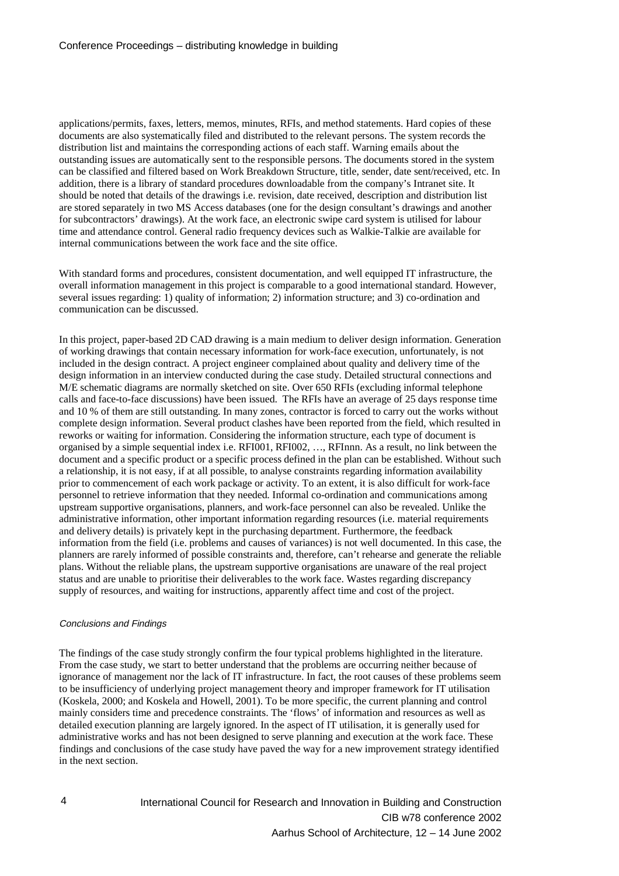applications/permits, faxes, letters, memos, minutes, RFIs, and method statements. Hard copies of these documents are also systematically filed and distributed to the relevant persons. The system records the distribution list and maintains the corresponding actions of each staff. Warning emails about the outstanding issues are automatically sent to the responsible persons. The documents stored in the system can be classified and filtered based on Work Breakdown Structure, title, sender, date sent/received, etc. In addition, there is a library of standard procedures downloadable from the company's Intranet site. It should be noted that details of the drawings i.e. revision, date received, description and distribution list are stored separately in two MS Access databases (one for the design consultant's drawings and another for subcontractors' drawings). At the work face, an electronic swipe card system is utilised for labour time and attendance control. General radio frequency devices such as Walkie-Talkie are available for internal communications between the work face and the site office.

With standard forms and procedures, consistent documentation, and well equipped IT infrastructure, the overall information management in this project is comparable to a good international standard. However, several issues regarding: 1) quality of information; 2) information structure; and 3) co-ordination and communication can be discussed.

In this project, paper-based 2D CAD drawing is a main medium to deliver design information. Generation of working drawings that contain necessary information for work-face execution, unfortunately, is not included in the design contract. A project engineer complained about quality and delivery time of the design information in an interview conducted during the case study. Detailed structural connections and M/E schematic diagrams are normally sketched on site. Over 650 RFIs (excluding informal telephone calls and face-to-face discussions) have been issued. The RFIs have an average of 25 days response time and 10 % of them are still outstanding. In many zones, contractor is forced to carry out the works without complete design information. Several product clashes have been reported from the field, which resulted in reworks or waiting for information. Considering the information structure, each type of document is organised by a simple sequential index i.e. RFI001, RFI002, …, RFInnn. As a result, no link between the document and a specific product or a specific process defined in the plan can be established. Without such a relationship, it is not easy, if at all possible, to analyse constraints regarding information availability prior to commencement of each work package or activity. To an extent, it is also difficult for work-face personnel to retrieve information that they needed. Informal co-ordination and communications among upstream supportive organisations, planners, and work-face personnel can also be revealed. Unlike the administrative information, other important information regarding resources (i.e. material requirements and delivery details) is privately kept in the purchasing department. Furthermore, the feedback information from the field (i.e. problems and causes of variances) is not well documented. In this case, the planners are rarely informed of possible constraints and, therefore, can't rehearse and generate the reliable plans. Without the reliable plans, the upstream supportive organisations are unaware of the real project status and are unable to prioritise their deliverables to the work face. Wastes regarding discrepancy supply of resources, and waiting for instructions, apparently affect time and cost of the project.

### Conclusions and Findings

The findings of the case study strongly confirm the four typical problems highlighted in the literature. From the case study, we start to better understand that the problems are occurring neither because of ignorance of management nor the lack of IT infrastructure. In fact, the root causes of these problems seem to be insufficiency of underlying project management theory and improper framework for IT utilisation (Koskela, 2000; and Koskela and Howell, 2001). To be more specific, the current planning and control mainly considers time and precedence constraints. The 'flows' of information and resources as well as detailed execution planning are largely ignored. In the aspect of IT utilisation, it is generally used for administrative works and has not been designed to serve planning and execution at the work face. These findings and conclusions of the case study have paved the way for a new improvement strategy identified in the next section.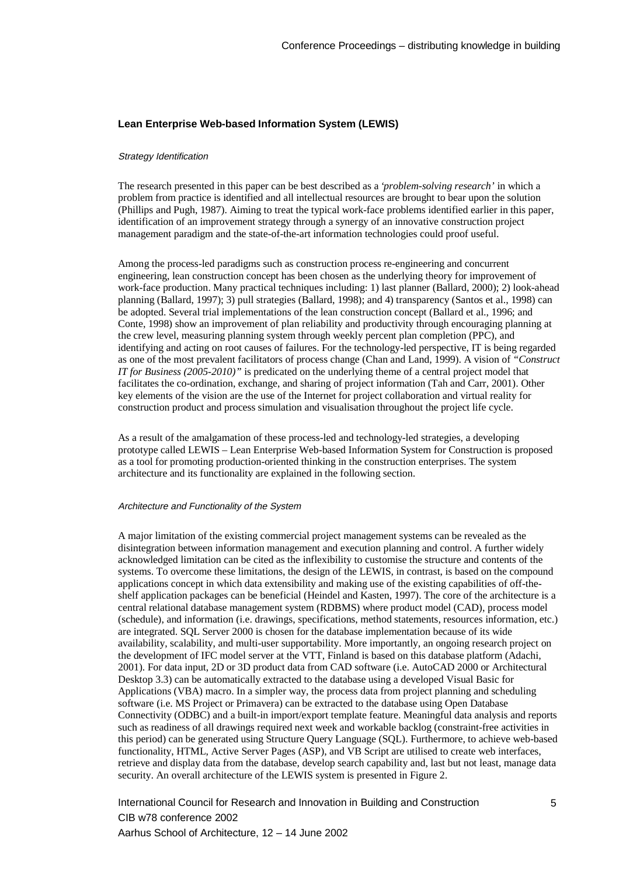## **Lean Enterprise Web-based Information System (LEWIS)**

#### Strategy Identification

The research presented in this paper can be best described as a '*problem-solving research'* in which a problem from practice is identified and all intellectual resources are brought to bear upon the solution (Phillips and Pugh, 1987). Aiming to treat the typical work-face problems identified earlier in this paper, identification of an improvement strategy through a synergy of an innovative construction project management paradigm and the state-of-the-art information technologies could proof useful.

Among the process-led paradigms such as construction process re-engineering and concurrent engineering, lean construction concept has been chosen as the underlying theory for improvement of work-face production. Many practical techniques including: 1) last planner (Ballard, 2000); 2) look-ahead planning (Ballard, 1997); 3) pull strategies (Ballard, 1998); and 4) transparency (Santos et al., 1998) can be adopted. Several trial implementations of the lean construction concept (Ballard et al., 1996; and Conte, 1998) show an improvement of plan reliability and productivity through encouraging planning at the crew level, measuring planning system through weekly percent plan completion (PPC), and identifying and acting on root causes of failures. For the technology-led perspective, IT is being regarded as one of the most prevalent facilitators of process change (Chan and Land, 1999). A vision of *"Construct IT for Business (2005-2010)"* is predicated on the underlying theme of a central project model that facilitates the co-ordination, exchange, and sharing of project information (Tah and Carr, 2001). Other key elements of the vision are the use of the Internet for project collaboration and virtual reality for construction product and process simulation and visualisation throughout the project life cycle.

As a result of the amalgamation of these process-led and technology-led strategies, a developing prototype called LEWIS – Lean Enterprise Web-based Information System for Construction is proposed as a tool for promoting production-oriented thinking in the construction enterprises. The system architecture and its functionality are explained in the following section.

### Architecture and Functionality of the System

A major limitation of the existing commercial project management systems can be revealed as the disintegration between information management and execution planning and control. A further widely acknowledged limitation can be cited as the inflexibility to customise the structure and contents of the systems. To overcome these limitations, the design of the LEWIS, in contrast, is based on the compound applications concept in which data extensibility and making use of the existing capabilities of off-theshelf application packages can be beneficial (Heindel and Kasten, 1997). The core of the architecture is a central relational database management system (RDBMS) where product model (CAD), process model (schedule), and information (i.e. drawings, specifications, method statements, resources information, etc.) are integrated. SQL Server 2000 is chosen for the database implementation because of its wide availability, scalability, and multi-user supportability. More importantly, an ongoing research project on the development of IFC model server at the VTT, Finland is based on this database platform (Adachi, 2001). For data input, 2D or 3D product data from CAD software (i.e. AutoCAD 2000 or Architectural Desktop 3.3) can be automatically extracted to the database using a developed Visual Basic for Applications (VBA) macro. In a simpler way, the process data from project planning and scheduling software (i.e. MS Project or Primavera) can be extracted to the database using Open Database Connectivity (ODBC) and a built-in import/export template feature. Meaningful data analysis and reports such as readiness of all drawings required next week and workable backlog (constraint-free activities in this period) can be generated using Structure Query Language (SQL). Furthermore, to achieve web-based functionality, HTML, Active Server Pages (ASP), and VB Script are utilised to create web interfaces, retrieve and display data from the database, develop search capability and, last but not least, manage data security. An overall architecture of the LEWIS system is presented in Figure 2.

International Council for Research and Innovation in Building and Construction CIB w78 conference 2002 Aarhus School of Architecture, 12 – 14 June 2002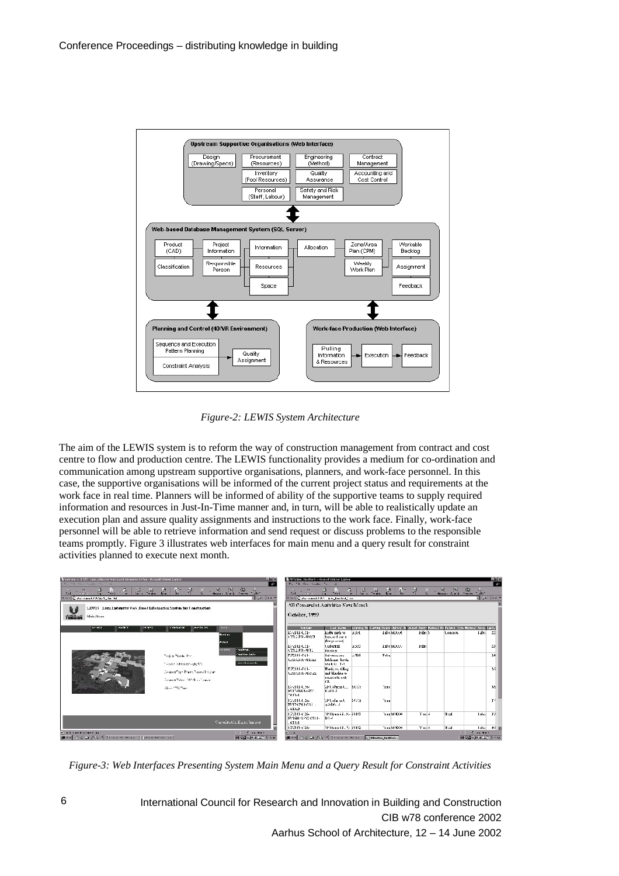

*Figure-2: LEWIS System Architecture*

The aim of the LEWIS system is to reform the way of construction management from contract and cost centre to flow and production centre. The LEWIS functionality provides a medium for co-ordination and communication among upstream supportive organisations, planners, and work-face personnel. In this case, the supportive organisations will be informed of the current project status and requirements at the work face in real time. Planners will be informed of ability of the supportive teams to supply required information and resources in Just-In-Time manner and, in turn, will be able to realistically update an execution plan and assure quality assignments and instructions to the work face. Finally, work-face personnel will be able to retrieve information and send request or discuss problems to the responsible teams promptly. Figure 3 illustrates web interfaces for main menu and a query result for constraint activities planned to execute next month.

| <b>Si</b> Walcoma to UUA15 - Lean Laberghi e Wab-Livinii Infantation System - Hicicodi Infantat Upilcian                                                                                                                                                                                                                                                                                                 | 國司國                                                   | A / History HadHorin - Nicomolf Informat Liphons                                                                                                                                                                               |                                                                                                   |             |            |                 |                             | 医回答                         |
|----------------------------------------------------------------------------------------------------------------------------------------------------------------------------------------------------------------------------------------------------------------------------------------------------------------------------------------------------------------------------------------------------------|-------------------------------------------------------|--------------------------------------------------------------------------------------------------------------------------------------------------------------------------------------------------------------------------------|---------------------------------------------------------------------------------------------------|-------------|------------|-----------------|-----------------------------|-----------------------------|
| Family Star Trades                                                                                                                                                                                                                                                                                                                                                                                       | <b>A</b>                                              | The City Country Care, 4                                                                                                                                                                                                       |                                                                                                   |             |            |                 |                             | 168                         |
| 0 3 4 2 6 6 7 8 1 3 3 3<br>$\frac{1}{2}$ $\frac{1}{2}$ $\frac{1}{2}$ $\frac{1}{2}$ $\frac{1}{2}$ $\frac{1}{2}$ $\frac{1}{2}$ $\frac{1}{2}$ $\frac{1}{2}$ $\frac{1}{2}$ $\frac{1}{2}$ $\frac{1}{2}$ $\frac{1}{2}$ $\frac{1}{2}$ $\frac{1}{2}$ $\frac{1}{2}$ $\frac{1}{2}$ $\frac{1}{2}$ $\frac{1}{2}$ $\frac{1}{2}$ $\frac{1}{2}$ $\frac{1}{2}$<br>$\mathbb{Z}$<br># 10 m @ Machinesoft A Guide, the Ref. | <b>Roote 14.11</b>                                    | 12 - 20 - 20 - 11<br>□ h = 图 dochement A > 由 m_Rectorin' ap-                                                                                                                                                                   | - 4   9, 모, A   8   후 - 2 - 조, 8, 윤, 소                                                            |             |            |                 |                             | F SP 14.5                   |
|                                                                                                                                                                                                                                                                                                                                                                                                          |                                                       |                                                                                                                                                                                                                                |                                                                                                   |             |            |                 |                             |                             |
| LEWIS Lemi indeperise Web Based Information System for Construction                                                                                                                                                                                                                                                                                                                                      |                                                       | All Constraint Activities Next Month                                                                                                                                                                                           |                                                                                                   |             |            |                 |                             |                             |
| TERSTOP<br>Muis Meau                                                                                                                                                                                                                                                                                                                                                                                     |                                                       | October, 1999                                                                                                                                                                                                                  |                                                                                                   |             |            |                 |                             |                             |
| <b>BY YOU</b><br><b>BART</b><br><b>IN SOVA</b><br><b>L'ÉNITAY DR</b><br><b>NOTHERN</b>                                                                                                                                                                                                                                                                                                                   | <b>MADE</b>                                           | <b>Unidam</b><br><b>Last Henry</b>                                                                                                                                                                                             | Linewing Hall) away Daniel Dated 193 Switch Deang Malanci HallPictures, Tym Malanci, Daniel Dated |             |            |                 |                             |                             |
|                                                                                                                                                                                                                                                                                                                                                                                                          | Diziti-Ch-<br><b>Building</b><br><b>Actual</b>        | lazeitu parbito.<br>(121.1311-10053<br>Indicate II and let<br>[for presser]                                                                                                                                                    | A94                                                                                               | Talschtone  | trained to | <b>Longress</b> | Talsa 23                    |                             |
|                                                                                                                                                                                                                                                                                                                                                                                                          | Divertised as<br><b>CLOCK</b><br><b>Charles Mont.</b> | <b>Ledonial:</b><br>C21.3311-9812<br>door and se-                                                                                                                                                                              | la 2.0                                                                                            | Talschtoner | False      |                 |                             | 20                          |
| Tedes Rook, Pro-                                                                                                                                                                                                                                                                                                                                                                                         | <b>Suit Ing Andy</b><br>T.72111-021-                  | Sid-show and                                                                                                                                                                                                                   | $-303$<br>False                                                                                   |             |            |                 |                             | 14                          |
| Toother Molecoro (d) US.                                                                                                                                                                                                                                                                                                                                                                                 | tion the same dis-                                    | brick are book.<br>021/03/10 09:02<br>work G. 1-5                                                                                                                                                                              |                                                                                                   |             |            |                 |                             |                             |
| Contract That These Protect Interim                                                                                                                                                                                                                                                                                                                                                                      | T.T. 111-0-21-                                        | Hardcore filling<br>and binding to                                                                                                                                                                                             |                                                                                                   |             |            |                 |                             | 25                          |
| Computibles 1926 of cases.                                                                                                                                                                                                                                                                                                                                                                               |                                                       | Lzegar-Jos-Zi<br>miterale vab<br>h'П.                                                                                                                                                                                          |                                                                                                   |             |            |                 |                             |                             |
| CRIVETTE Then                                                                                                                                                                                                                                                                                                                                                                                            | E72111-L26-<br>rom-t                                  | Martishana till McCo.<br>K-R-1-5<br>PDDGM10811-                                                                                                                                                                                | Truc                                                                                              |             |            |                 |                             | 36                          |
|                                                                                                                                                                                                                                                                                                                                                                                                          | 1022111-U26-<br>L 610-2                               | <b>EP</b> tails in th<br>A-M/F- -1<br>T012/05/1-031 -                                                                                                                                                                          | \$4,056<br>'Luc                                                                                   |             |            |                 |                             | ar4.                        |
|                                                                                                                                                                                                                                                                                                                                                                                                          | 1072111-026-                                          | 119 Isaac GL K- NHC                                                                                                                                                                                                            |                                                                                                   | True M 3004 | This 4     | Sted            | Talys 32                    |                             |
|                                                                                                                                                                                                                                                                                                                                                                                                          | Convenience Of a Element Sensored<br>لمعتقبا          | T41401-0232-0111-<br>ID4-A                                                                                                                                                                                                     |                                                                                                   |             |            |                 |                             |                             |
|                                                                                                                                                                                                                                                                                                                                                                                                          | 122111-026-                                           | 10 Head GL & NHQ                                                                                                                                                                                                               |                                                                                                   | True M TO M | Time 4     | Sted            |                             | $1$ aba $+0$ $\overline{m}$ |
| <b>Market and conner and</b>                                                                                                                                                                                                                                                                                                                                                                             | $2.16 - 4 + 1$<br>$\overline{a}$                      |                                                                                                                                                                                                                                |                                                                                                   |             |            |                 | El suite t                  |                             |
| distributed and an and Service Arms and Specialists and                                                                                                                                                                                                                                                                                                                                                  | NPRESS AND THE                                        | distributed and the property of the second comments of the comments of the comments of the comments of the comments of the comments of the comments of the comments of the comments of the comments of the comments of the com |                                                                                                   |             |            |                 | <b>NPRALE PORTLANDS TOO</b> |                             |

*Figure-3: Web Interfaces Presenting System Main Menu and a Query Result for Constraint Activities*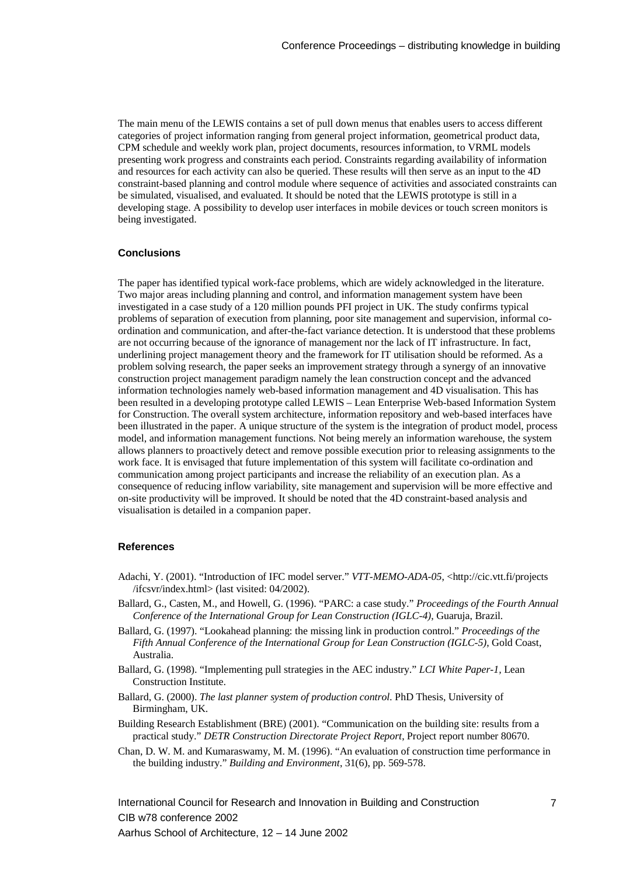The main menu of the LEWIS contains a set of pull down menus that enables users to access different categories of project information ranging from general project information, geometrical product data, CPM schedule and weekly work plan, project documents, resources information, to VRML models presenting work progress and constraints each period. Constraints regarding availability of information and resources for each activity can also be queried. These results will then serve as an input to the 4D constraint-based planning and control module where sequence of activities and associated constraints can be simulated, visualised, and evaluated. It should be noted that the LEWIS prototype is still in a developing stage. A possibility to develop user interfaces in mobile devices or touch screen monitors is being investigated.

### **Conclusions**

The paper has identified typical work-face problems, which are widely acknowledged in the literature. Two major areas including planning and control, and information management system have been investigated in a case study of a 120 million pounds PFI project in UK. The study confirms typical problems of separation of execution from planning, poor site management and supervision, informal coordination and communication, and after-the-fact variance detection. It is understood that these problems are not occurring because of the ignorance of management nor the lack of IT infrastructure. In fact, underlining project management theory and the framework for IT utilisation should be reformed. As a problem solving research, the paper seeks an improvement strategy through a synergy of an innovative construction project management paradigm namely the lean construction concept and the advanced information technologies namely web-based information management and 4D visualisation. This has been resulted in a developing prototype called LEWIS – Lean Enterprise Web-based Information System for Construction. The overall system architecture, information repository and web-based interfaces have been illustrated in the paper. A unique structure of the system is the integration of product model, process model, and information management functions. Not being merely an information warehouse, the system allows planners to proactively detect and remove possible execution prior to releasing assignments to the work face. It is envisaged that future implementation of this system will facilitate co-ordination and communication among project participants and increase the reliability of an execution plan. As a consequence of reducing inflow variability, site management and supervision will be more effective and on-site productivity will be improved. It should be noted that the 4D constraint-based analysis and visualisation is detailed in a companion paper.

## **References**

- Adachi, Y. (2001). "Introduction of IFC model server." *VTT-MEMO-ADA-05*, <http://cic.vtt.fi/projects /ifcsvr/index.html> (last visited: 04/2002).
- Ballard, G., Casten, M., and Howell, G. (1996). "PARC: a case study." *Proceedings of the Fourth Annual Conference of the International Group for Lean Construction (IGLC-4)*, Guaruja, Brazil.
- Ballard, G. (1997). "Lookahead planning: the missing link in production control." *Proceedings of the Fifth Annual Conference of the International Group for Lean Construction (IGLC-5)*, Gold Coast, Australia.
- Ballard, G. (1998). "Implementing pull strategies in the AEC industry." *LCI White Paper-1,* Lean Construction Institute.
- Ballard, G. (2000). *The last planner system of production control.* PhD Thesis, University of Birmingham, UK.
- Building Research Establishment (BRE) (2001). "Communication on the building site: results from a practical study." *DETR Construction Directorate Project Report*, Project report number 80670.
- Chan, D. W. M. and Kumaraswamy, M. M. (1996). "An evaluation of construction time performance in the building industry." *Building and Environment*, 31(6), pp. 569-578.

International Council for Research and Innovation in Building and Construction CIB w78 conference 2002 Aarhus School of Architecture, 12 – 14 June 2002